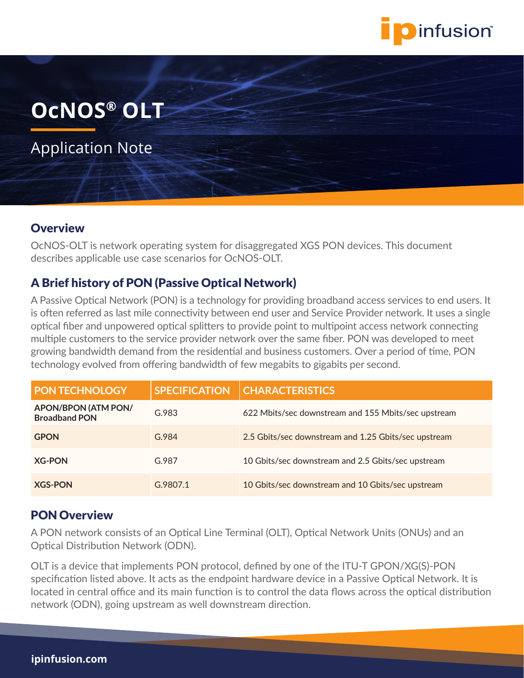

# **OcNOS® OLT**

Application Note

### **Overview**

OcNOS-OLT is network operating system for disaggregated XGS PON devices. This document describes applicable use case scenarios for OcNOS-OLT.

## A Brief history of PON (Passive Optical Network)

A Passive Optical Network (PON) is a technology for providing broadband access services to end users. It is often referred as last mile connectivity between end user and Service Provider network. It uses a single optical fiber and unpowered optical splitters to provide point to multipoint access network connecting multiple customers to the service provider network over the same fiber. PON was developed to meet growing bandwidth demand from the residential and business customers. Over a period of time, PON technology evolved from offering bandwidth of few megabits to gigabits per second.

| <b>PON TECHNOLOGY</b>                       | <b>SPECIFICATION</b> | <b>CHARACTERISTICS</b>                               |
|---------------------------------------------|----------------------|------------------------------------------------------|
| APON/BPON (ATM PON/<br><b>Broadband PON</b> | G.983                | 622 Mbits/sec downstream and 155 Mbits/sec upstream  |
| <b>GPON</b>                                 | G.984                | 2.5 Gbits/sec downstream and 1.25 Gbits/sec upstream |
| <b>XG-PON</b>                               | G.987                | 10 Gbits/sec downstream and 2.5 Gbits/sec upstream   |
| <b>XGS-PON</b>                              | G.9807.1             | 10 Gbits/sec downstream and 10 Gbits/sec upstream    |

### PON Overview

A PON network consists of an Optical Line Terminal (OLT), Optical Network Units (ONUs) and an Optical Distribution Network (ODN).

OLT is a device that implements PON protocol, defined by one of the ITU-T GPON/XG(S)-PON specification listed above. It acts as the endpoint hardware device in a Passive Optical Network. It is located in central office and its main function is to control the data flows across the optical distribution network (ODN), going upstream as well downstream direction.

#### **ipinfusion.com**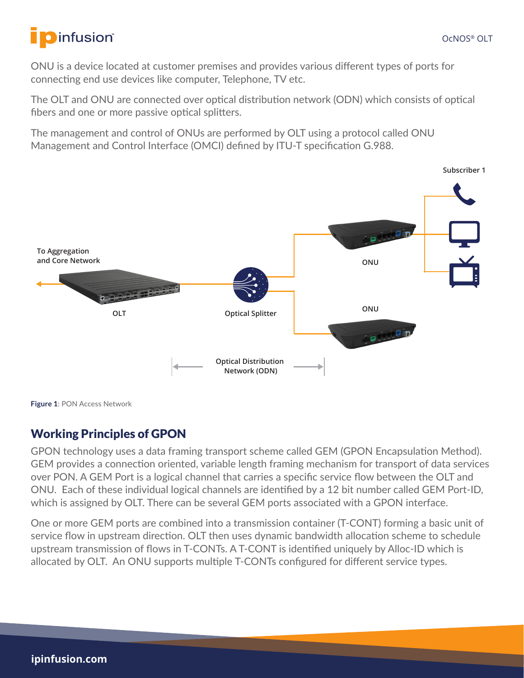ONU is a device located at customer premises and provides various different types of ports for connecting end use devices like computer, Telephone, TV etc.

The OLT and ONU are connected over optical distribution network (ODN) which consists of optical fibers and one or more passive optical splitters.

The management and control of ONUs are performed by OLT using a protocol called ONU Management and Control Interface (OMCI) defined by ITU-T specification G.988.



**Figure 1**: PON Access Network

## Working Principles of GPON

GPON technology uses a data framing transport scheme called GEM (GPON Encapsulation Method). GEM provides a connection oriented, variable length framing mechanism for transport of data services over PON. A GEM Port is a logical channel that carries a specific service flow between the OLT and ONU. Each of these individual logical channels are identified by a 12 bit number called GEM Port-ID, which is assigned by OLT. There can be several GEM ports associated with a GPON interface.

One or more GEM ports are combined into a transmission container (T-CONT) forming a basic unit of service flow in upstream direction. OLT then uses dynamic bandwidth allocation scheme to schedule upstream transmission of flows in T-CONTs. A T-CONT is identified uniquely by Alloc-ID which is allocated by OLT. An ONU supports multiple T-CONTs configured for different service types.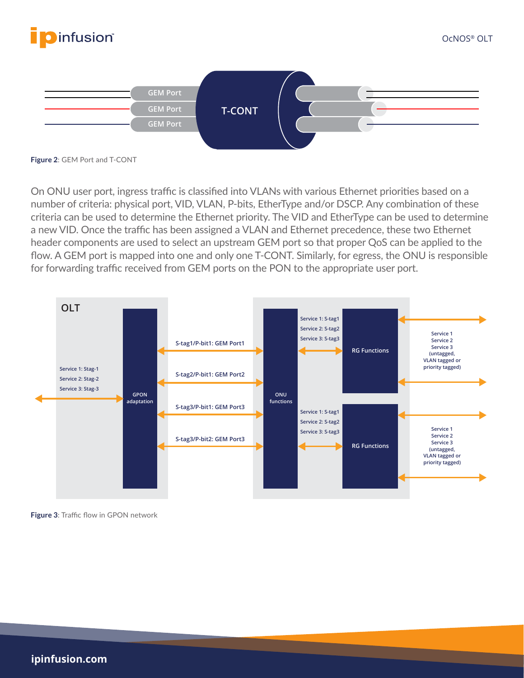



**Figure 2**: GEM Port and T-CONT

On ONU user port, ingress traffic is classified into VLANs with various Ethernet priorities based on a number of criteria: physical port, VID, VLAN, P-bits, EtherType and/or DSCP. Any combination of these criteria can be used to determine the Ethernet priority. The VID and EtherType can be used to determine a new VID. Once the traffic has been assigned a VLAN and Ethernet precedence, these two Ethernet header components are used to select an upstream GEM port so that proper QoS can be applied to the flow. A GEM port is mapped into one and only one T-CONT. Similarly, for egress, the ONU is responsible for forwarding traffic received from GEM ports on the PON to the appropriate user port.



**Figure 3**: Traffic flow in GPON network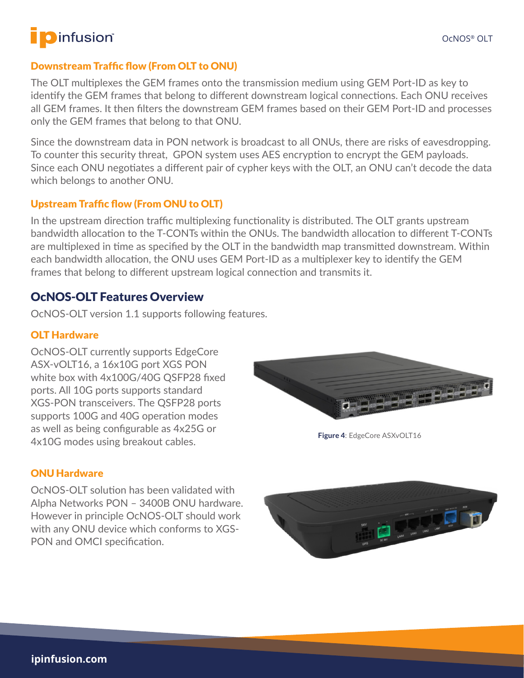## Downstream Traffic flow (From OLT to ONU)

The OLT multiplexes the GEM frames onto the transmission medium using GEM Port-ID as key to identify the GEM frames that belong to different downstream logical connections. Each ONU receives all GEM frames. It then filters the downstream GEM frames based on their GEM Port-ID and processes only the GEM frames that belong to that ONU.

Since the downstream data in PON network is broadcast to all ONUs, there are risks of eavesdropping. To counter this security threat, GPON system uses AES encryption to encrypt the GEM payloads. Since each ONU negotiates a different pair of cypher keys with the OLT, an ONU can't decode the data which belongs to another ONU.

## Upstream Traffic flow (From ONU to OLT)

In the upstream direction traffic multiplexing functionality is distributed. The OLT grants upstream bandwidth allocation to the T-CONTs within the ONUs. The bandwidth allocation to different T-CONTs are multiplexed in time as specified by the OLT in the bandwidth map transmitted downstream. Within each bandwidth allocation, the ONU uses GEM Port-ID as a multiplexer key to identify the GEM frames that belong to different upstream logical connection and transmits it.

## OcNOS-OLT Features Overview

OcNOS-OLT version 1.1 supports following features.

### OLT Hardware

OcNOS-OLT currently supports EdgeCore ASX-vOLT16, a 16x10G port XGS PON white box with 4x100G/40G QSFP28 fixed ports. All 10G ports supports standard XGS-PON transceivers. The QSFP28 ports supports 100G and 40G operation modes as well as being configurable as 4x25G or 4x10G modes using breakout cables.



**Figure 4**: EdgeCore ASXvOLT16

### ONU Hardware

OcNOS-OLT solution has been validated with Alpha Networks PON – 3400B ONU hardware. However in principle OcNOS-OLT should work with any ONU device which conforms to XGS-PON and OMCI specification.

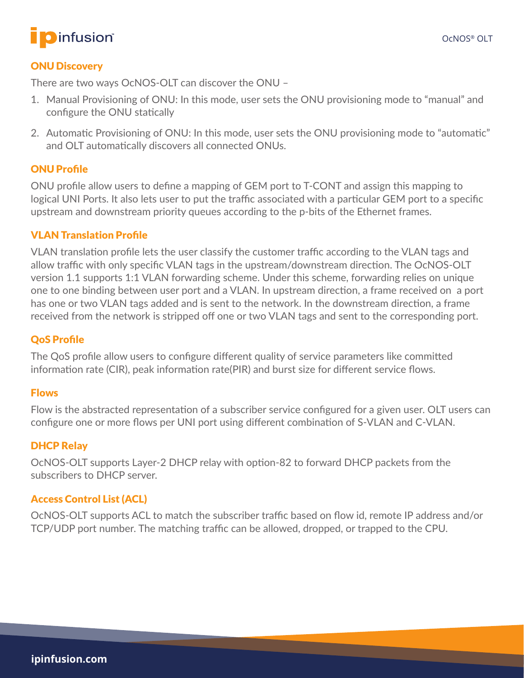

#### ONU Discovery

There are two ways OcNOS-OLT can discover the ONU –

- 1. Manual Provisioning of ONU: In this mode, user sets the ONU provisioning mode to "manual" and configure the ONU statically
- 2. Automatic Provisioning of ONU: In this mode, user sets the ONU provisioning mode to "automatic" and OLT automatically discovers all connected ONUs.

#### ONU Profile

ONU profile allow users to define a mapping of GEM port to T-CONT and assign this mapping to logical UNI Ports. It also lets user to put the traffic associated with a particular GEM port to a specific upstream and downstream priority queues according to the p-bits of the Ethernet frames.

#### VLAN Translation Profile

VLAN translation profile lets the user classify the customer traffic according to the VLAN tags and allow traffic with only specific VLAN tags in the upstream/downstream direction. The OcNOS-OLT version 1.1 supports 1:1 VLAN forwarding scheme. Under this scheme, forwarding relies on unique one to one binding between user port and a VLAN. In upstream direction, a frame received on a port has one or two VLAN tags added and is sent to the network. In the downstream direction, a frame received from the network is stripped off one or two VLAN tags and sent to the corresponding port.

### QoS Profile

The QoS profile allow users to configure different quality of service parameters like committed information rate (CIR), peak information rate(PIR) and burst size for different service flows.

#### Flows

Flow is the abstracted representation of a subscriber service configured for a given user. OLT users can configure one or more flows per UNI port using different combination of S-VLAN and C-VLAN.

#### DHCP Relay

OcNOS-OLT supports Layer-2 DHCP relay with option-82 to forward DHCP packets from the subscribers to DHCP server.

### Access Control List (ACL)

OcNOS-OLT supports ACL to match the subscriber traffic based on flow id, remote IP address and/or TCP/UDP port number. The matching traffic can be allowed, dropped, or trapped to the CPU.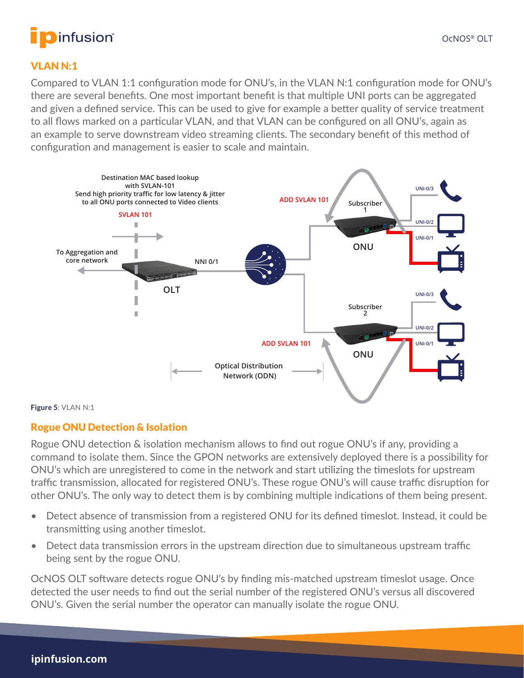

# **O**infusion®

#### VLAN N:1

Compared to VLAN 1:1 configuration mode for ONU's, in the VLAN N:1 configuration mode for ONU's there are several benefits. One most important benefit is that multiple UNI ports can be aggregated and given a defined service. This can be used to give for example a better quality of service treatment to all flows marked on a particular VLAN, and that VLAN can be configured on all ONU's, again as an example to serve downstream video streaming clients. The secondary benefit of this method of configuration and management is easier to scale and maintain.



#### **Figure 5**: VLAN N:1

#### Rogue ONU Detection & Isolation

Rogue ONU detection & isolation mechanism allows to find out rogue ONU's if any, providing a command to isolate them. Since the GPON networks are extensively deployed there is a possibility for ONU's which are unregistered to come in the network and start utilizing the timeslots for upstream traffic transmission, allocated for registered ONU's. These rogue ONU's will cause traffic disruption for other ONU's. The only way to detect them is by combining multiple indications of them being present.

- Detect absence of transmission from a registered ONU for its defined timeslot. Instead, it could be transmitting using another timeslot.
- Detect data transmission errors in the upstream direction due to simultaneous upstream traffic being sent by the rogue ONU.

OcNOS OLT software detects rogue ONU's by finding mis-matched upstream timeslot usage. Once detected the user needs to find out the serial number of the registered ONU's versus all discovered ONU's. Given the serial number the operator can manually isolate the rogue ONU.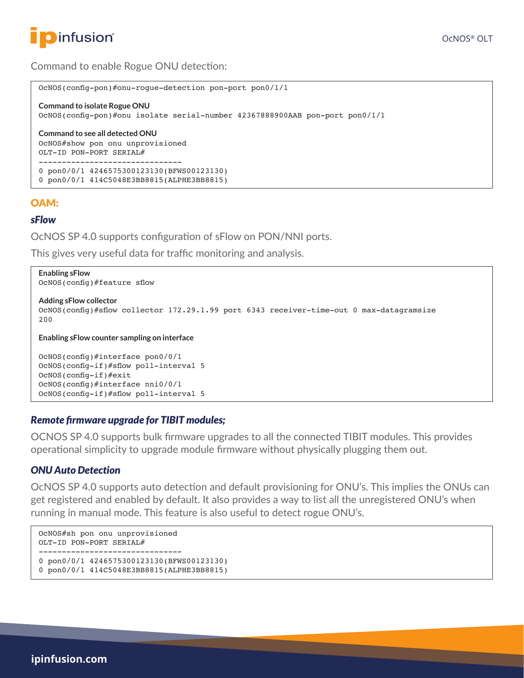

#### Command to enable Rogue ONU detection:

```
OcNOS(config-pon)#onu-rogue-detection pon-port pon0/1/1
Command to isolate Rogue ONU
OcNOS(config-pon)#onu isolate serial-number 42367888900AAB pon-port pon0/1/1
Command to see all detected ONU
OcNOS#show pon onu unprovisioned
OLT-ID PON-PORT SERIAL#
 -------------------------------
0 pon0/0/1 4246575300123130(BFWS00123130)
0 pon0/0/1 414C5048E3BB8815(ALPHE3BB8815)
```
#### OAM:

#### *sFlow*

OcNOS SP 4.0 supports configuration of sFlow on PON/NNI ports.

This gives very useful data for traffic monitoring and analysis.

```
Enabling sFlow
OcNOS(config)#feature sflow
Adding sFlow collector
OcNOS(config)#sflow collector 172.29.1.99 port 6343 receiver-time-out 0 max-datagramsize
200
Enabling sFlow counter sampling on interface
OcNOS(config)#interface pon0/0/1
OcNOS(config-if)#sflow poll-interval 5
OcNOS(config-if)#exit
OcNOS(config)#interface nni0/0/1
OcNOS(config-if)#sflow poll-interval 5
```
#### *Remote firmware upgrade for TIBIT modules;*

OCNOS SP 4.0 supports bulk firmware upgrades to all the connected TIBIT modules. This provides operational simplicity to upgrade module firmware without physically plugging them out.

#### *ONU Auto Detection*

OcNOS SP 4.0 supports auto detection and default provisioning for ONU's. This implies the ONUs can get registered and enabled by default. It also provides a way to list all the unregistered ONU's when running in manual mode. This feature is also useful to detect rogue ONU's.

```
OcNOS#sh pon onu unprovisioned
OLT-ID PON-PORT SERIAL#
-------------------------------
0 pon0/0/1 4246575300123130(BFWS00123130)
0 pon0/0/1 414C5048E3BB8815(ALPHE3BB8815)
```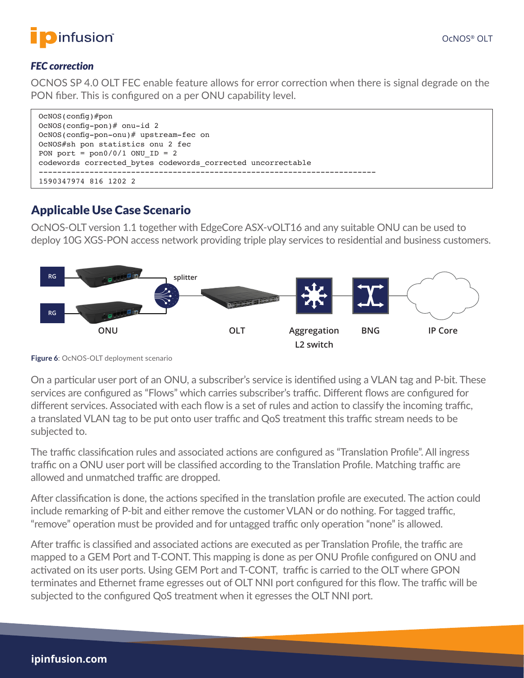

### *FEC correction*

OCNOS SP 4.0 OLT FEC enable feature allows for error correction when there is signal degrade on the PON fiber. This is configured on a per ONU capability level.

| OCNOS (config)#pon                                          |
|-------------------------------------------------------------|
| $OcNOS$ (config-pon) # onu-id 2                             |
| OcNOS(config-pon-onu)# upstream-fec on                      |
| OcNOS#sh pon statistics onu 2 fec                           |
| PON port = $pon0/0/1$ ONU ID = 2                            |
| codewords corrected bytes codewords corrected uncorrectable |
|                                                             |
| 1590347974 816 1202 2                                       |

## Applicable Use Case Scenario

OcNOS-OLT version 1.1 together with EdgeCore ASX-vOLT16 and any suitable ONU can be used to deploy 10G XGS-PON access network providing triple play services to residential and business customers.



**Figure 6**: OcNOS-OLT deployment scenario

On a particular user port of an ONU, a subscriber's service is identified using a VLAN tag and P-bit. These services are configured as "Flows" which carries subscriber's traffic. Different flows are configured for different services. Associated with each flow is a set of rules and action to classify the incoming traffic, a translated VLAN tag to be put onto user traffic and QoS treatment this traffic stream needs to be subjected to.

The traffic classification rules and associated actions are configured as "Translation Profile". All ingress traffic on a ONU user port will be classified according to the Translation Profile. Matching traffic are allowed and unmatched traffic are dropped.

After classification is done, the actions specified in the translation profile are executed. The action could include remarking of P-bit and either remove the customer VLAN or do nothing. For tagged traffic, "remove" operation must be provided and for untagged traffic only operation "none" is allowed.

After traffic is classified and associated actions are executed as per Translation Profile, the traffic are mapped to a GEM Port and T-CONT. This mapping is done as per ONU Profile configured on ONU and activated on its user ports. Using GEM Port and T-CONT, traffic is carried to the OLT where GPON terminates and Ethernet frame egresses out of OLT NNI port configured for this flow. The traffic will be subjected to the configured QoS treatment when it egresses the OLT NNI port.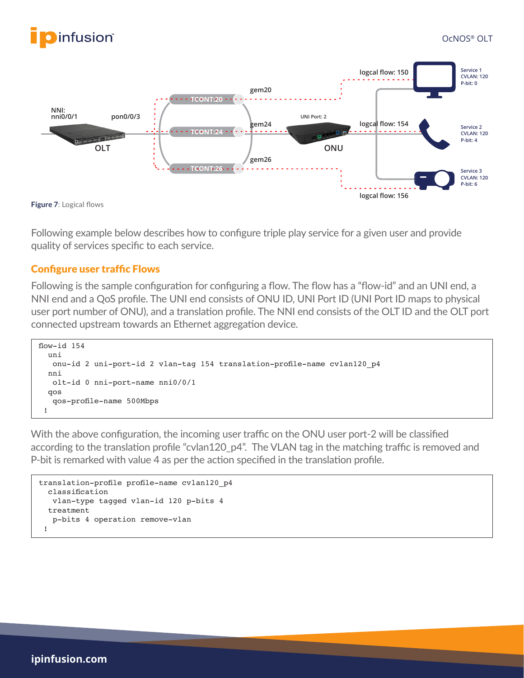



**Figure 7**: Logical flows

Following example below describes how to configure triple play service for a given user and provide quality of services specific to each service.

#### Configure user traffic Flows

Following is the sample configuration for configuring a flow. The flow has a "flow-id" and an UNI end, a NNI end and a QoS profile. The UNI end consists of ONU ID, UNI Port ID (UNI Port ID maps to physical user port number of ONU), and a translation profile. The NNI end consists of the OLT ID and the OLT port connected upstream towards an Ethernet aggregation device.

```
flow-id 154
   uni
    onu-id 2 uni-port-id 2 vlan-tag 154 translation-profile-name cvlan120_p4
   nni
    olt-id 0 nni-port-name nni0/0/1
   qos
    qos-profile-name 500Mbps
  !
```
With the above configuration, the incoming user traffic on the ONU user port-2 will be classified according to the translation profile "cvlan120\_p4". The VLAN tag in the matching traffic is removed and P-bit is remarked with value 4 as per the action specified in the translation profile.

```
translation-profile profile-name cvlan120_p4
  classification
    vlan-type tagged vlan-id 120 p-bits 4
   treatment
    p-bits 4 operation remove-vlan
  !
```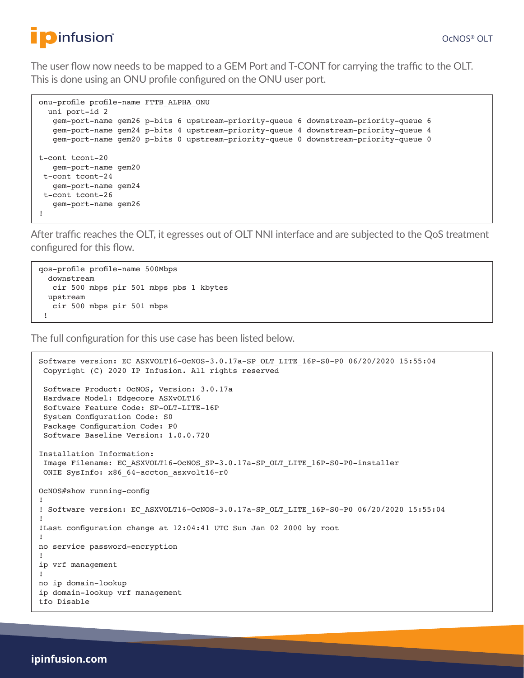The user flow now needs to be mapped to a GEM Port and T-CONT for carrying the traffic to the OLT. This is done using an ONU profile configured on the ONU user port.

```
onu-profile profile-name FTTB_ALPHA_ONU
  uni port-id 2
    gem-port-name gem26 p-bits 6 upstream-priority-queue 6 downstream-priority-queue 6
    gem-port-name gem24 p-bits 4 upstream-priority-queue 4 downstream-priority-queue 4
    gem-port-name gem20 p-bits 0 upstream-priority-queue 0 downstream-priority-queue 0
t-cont tcont-20
    gem-port-name gem20
  t-cont tcont-24
    gem-port-name gem24
 t-cont tcont-26
    gem-port-name gem26
!
```
After traffic reaches the OLT, it egresses out of OLT NNI interface and are subjected to the QoS treatment configured for this flow.

qos-profile profile-name 500Mbps downstream cir 500 mbps pir 501 mbps pbs 1 kbytes upstream cir 500 mbps pir 501 mbps !

The full configuration for this use case has been listed below.

```
Software version: EC_ASXVOLT16-OcNOS-3.0.17a-SP_OLT_LITE_16P-S0-P0 06/20/2020 15:55:04
  Copyright (C) 2020 IP Infusion. All rights reserved
  Software Product: OcNOS, Version: 3.0.17a
  Hardware Model: Edgecore ASXvOLT16
  Software Feature Code: SP-OLT-LITE-16P
  System Configuration Code: S0
  Package Configuration Code: P0
  Software Baseline Version: 1.0.0.720
Installation Information:
  Image Filename: EC_ASXVOLT16-OcNOS_SP-3.0.17a-SP_OLT_LITE_16P-S0-P0-installer
 ONIE SysInfo: x86_64-accton_asxvolt16-r0
OcNOS#show running-config
!
! Software version: EC_ASXVOLT16-OcNOS-3.0.17a-SP_OLT_LITE_16P-S0-P0 06/20/2020 15:55:04
!
!Last configuration change at 12:04:41 UTC Sun Jan 02 2000 by root
!
no service password-encryption
!
ip vrf management
!
no ip domain-lookup
ip domain-lookup vrf management
tfo Disable
```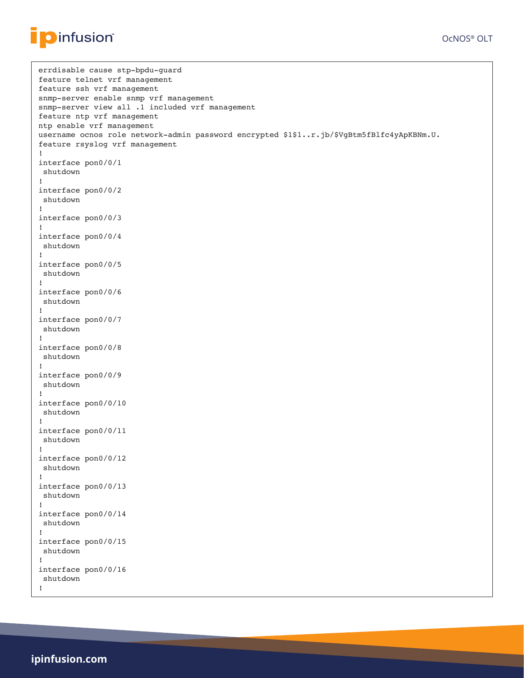

```
errdisable cause stp-bpdu-guard
feature telnet vrf management
feature ssh vrf management
snmp-server enable snmp vrf management
snmp-server view all .1 included vrf management
feature ntp vrf management
ntp enable vrf management
username ocnos role network-admin password encrypted $1$1..r.jb/$VgBtm5fBlfc4yApKBNm.U.
feature rsyslog vrf management
!
interface pon0/0/1
 shutdown
!
interface pon0/0/2
 shutdown
!
interface pon0/0/3
!
interface pon0/0/4
 shutdown
!
interface pon0/0/5
 shutdown
!
interface pon0/0/6
 shutdown
!
interface pon0/0/7
 shutdown
!
interface pon0/0/8
 shutdown
!
interface pon0/0/9
 shutdown
!
interface pon0/0/10
 shutdown
!
interface pon0/0/11
 shutdown
!
interface pon0/0/12
 shutdown
!
interface pon0/0/13
 shutdown
!
interface pon0/0/14
 shutdown
!
interface pon0/0/15
 shutdown
!
interface pon0/0/16
  shutdown
!
```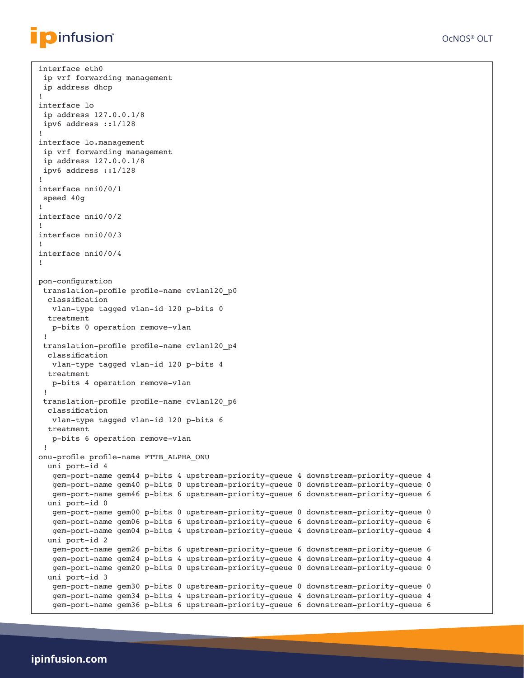interface eth0

```
OcNOS® OLT
```

```
 ip vrf forwarding management
  ip address dhcp
!
interface lo
  ip address 127.0.0.1/8
  ipv6 address ::1/128
!
interface lo.management
 ip vrf forwarding management
  ip address 127.0.0.1/8
  ipv6 address ::1/128
!
interface nni0/0/1
  speed 40g
!
interface nni0/0/2
!
interface nni0/0/3
!
interface nni0/0/4
!
pon-configuration
  translation-profile profile-name cvlan120_p0
   classification
   vlan-type tagged vlan-id 120 p-bits 0
   treatment
    p-bits 0 operation remove-vlan
  !
  translation-profile profile-name cvlan120_p4
   classification
   vlan-type tagged vlan-id 120 p-bits 4
   treatment
    p-bits 4 operation remove-vlan
  !
  translation-profile profile-name cvlan120_p6
   classification
    vlan-type tagged vlan-id 120 p-bits 6
   treatment
    p-bits 6 operation remove-vlan
 !
onu-profile profile-name FTTB_ALPHA_ONU
   uni port-id 4
   gem-port-name gem44 p-bits 4 upstream-priority-queue 4 downstream-priority-queue 4
    gem-port-name gem40 p-bits 0 upstream-priority-queue 0 downstream-priority-queue 0
    gem-port-name gem46 p-bits 6 upstream-priority-queue 6 downstream-priority-queue 6
   uni port-id 0
    gem-port-name gem00 p-bits 0 upstream-priority-queue 0 downstream-priority-queue 0
    gem-port-name gem06 p-bits 6 upstream-priority-queue 6 downstream-priority-queue 6
    gem-port-name gem04 p-bits 4 upstream-priority-queue 4 downstream-priority-queue 4
   uni port-id 2
    gem-port-name gem26 p-bits 6 upstream-priority-queue 6 downstream-priority-queue 6
    gem-port-name gem24 p-bits 4 upstream-priority-queue 4 downstream-priority-queue 4
    gem-port-name gem20 p-bits 0 upstream-priority-queue 0 downstream-priority-queue 0
   uni port-id 3
    gem-port-name gem30 p-bits 0 upstream-priority-queue 0 downstream-priority-queue 0
    gem-port-name gem34 p-bits 4 upstream-priority-queue 4 downstream-priority-queue 4
    gem-port-name gem36 p-bits 6 upstream-priority-queue 6 downstream-priority-queue 6
```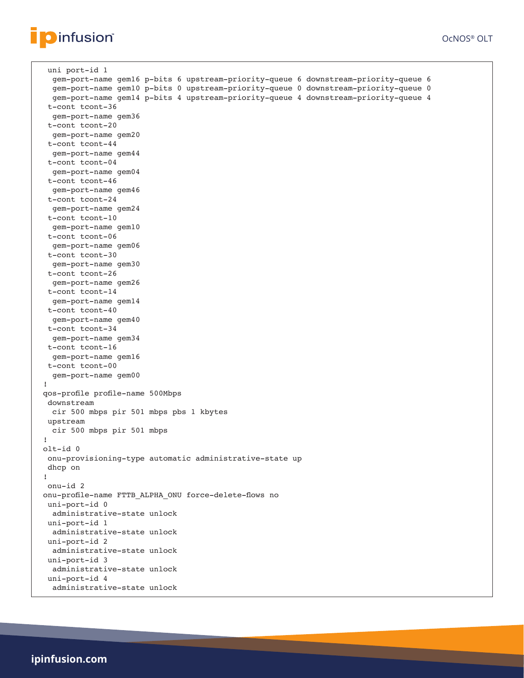```
Dinfusion®
```

```
 uni port-id 1
  gem-port-name gem16 p-bits 6 upstream-priority-queue 6 downstream-priority-queue 6
  gem-port-name gem10 p-bits 0 upstream-priority-queue 0 downstream-priority-queue 0
  gem-port-name gem14 p-bits 4 upstream-priority-queue 4 downstream-priority-queue 4
  t-cont tcont-36
   gem-port-name gem36
  t-cont tcont-20
   gem-port-name gem20
  t-cont tcont-44
  gem-port-name gem44
  t-cont tcont-04
  gem-port-name gem04
  t-cont tcont-46
  gem-port-name gem46
 t-cont tcont-24
  gem-port-name gem24
  t-cont tcont-10
  gem-port-name gem10
  t-cont tcont-06
  gem-port-name gem06
  t-cont tcont-30
  gem-port-name gem30
  t-cont tcont-26
  gem-port-name gem26
  t-cont tcont-14
  gem-port-name gem14
  t-cont tcont-40
  gem-port-name gem40
  t-cont tcont-34
  gem-port-name gem34
  t-cont tcont-16
  gem-port-name gem16
  t-cont tcont-00
   gem-port-name gem00
 !
 qos-profile profile-name 500Mbps
  downstream
  cir 500 mbps pir 501 mbps pbs 1 kbytes
  upstream
  cir 500 mbps pir 501 mbps
 !
 olt-id 0
  onu-provisioning-type automatic administrative-state up
  dhcp on
 !
  onu-id 2
 onu-profile-name FTTB_ALPHA_ONU force-delete-flows no
  uni-port-id 0
  administrative-state unlock
  uni-port-id 1
  administrative-state unlock
  uni-port-id 2
  administrative-state unlock
  uni-port-id 3
  administrative-state unlock
  uni-port-id 4
   administrative-state unlock
```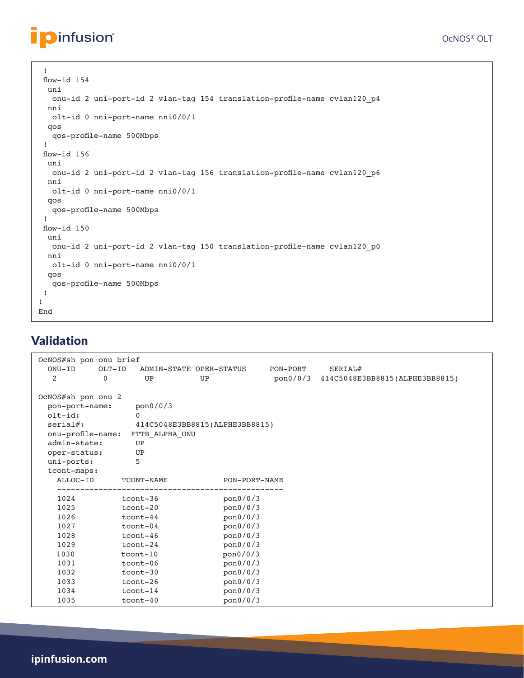```
 !
 flow-id 154
   uni
   onu-id 2 uni-port-id 2 vlan-tag 154 translation-profile-name cvlan120_p4
  nni
   olt-id 0 nni-port-name nni0/0/1
  qos
   qos-profile-name 500Mbps
  !
 flow-id 156
  uni
   onu-id 2 uni-port-id 2 vlan-tag 156 translation-profile-name cvlan120_p6
  nni
   olt-id 0 nni-port-name nni0/0/1
  qos
   qos-profile-name 500Mbps
  !
 flow-id 150
  uni
   onu-id 2 uni-port-id 2 vlan-tag 150 translation-profile-name cvlan120_p0
  nni
   olt-id 0 nni-port-name nni0/0/1
   qos
    qos-profile-name 500Mbps
  !
!
End
```
### Validation

**D**infusion®

| OcNOS#sh pon onu brief |          |                                |    |               |          |                                         |
|------------------------|----------|--------------------------------|----|---------------|----------|-----------------------------------------|
| $ONU-ID$               | $OLT-ID$ | ADMIN-STATE OPER-STATUS        |    |               | PON-PORT | SERIAL#                                 |
| 2                      | $\Omega$ | UP                             | UP |               |          | pon0/0/3 414C5048E3BB8815(ALPHE3BB8815) |
|                        |          |                                |    |               |          |                                         |
| OcNOS#sh pon onu 2     |          |                                |    |               |          |                                         |
| pon-port-name:         |          | pon0/0/3                       |    |               |          |                                         |
| $olt-id:$              |          | $\Omega$                       |    |               |          |                                         |
| $serial#$ :            |          | 414C5048E3BB8815(ALPHE3BB8815) |    |               |          |                                         |
| onu-profile-name:      |          | FTTB ALPHA ONU                 |    |               |          |                                         |
| admin-state:           |          | UP                             |    |               |          |                                         |
| oper-status:           |          | UP                             |    |               |          |                                         |
| uni-ports:             |          | 5                              |    |               |          |                                         |
| tcont-maps:            |          |                                |    |               |          |                                         |
| ALLOC-ID               |          | TCONT-NAME                     |    | PON-PORT-NAME |          |                                         |
|                        |          |                                |    |               |          |                                         |
| 1024                   |          | tcont-36                       |    | pon0/0/3      |          |                                         |
| 1025                   |          | tcont-20                       |    | pon0/0/3      |          |                                         |
| 1026                   |          | tcont-44                       |    | pon0/0/3      |          |                                         |
| 1027                   |          | tcont-04                       |    | pon0/0/3      |          |                                         |
| 1028                   |          | tcont-46                       |    | pon0/0/3      |          |                                         |
| 1029                   |          | tcont-24                       |    | pon0/0/3      |          |                                         |
| 1030                   |          | tcont-10                       |    | pon0/0/3      |          |                                         |
| 1031                   |          | tcont-06                       |    | pon0/0/3      |          |                                         |
| 1032                   |          | tcont-30                       |    | pon0/0/3      |          |                                         |
| 1033                   |          | tcont-26                       |    | pon0/0/3      |          |                                         |
| 1034                   |          | $tcont-14$                     |    | pon0/0/3      |          |                                         |
| 1035                   |          | $tcont-40$                     |    | pon0/0/3      |          |                                         |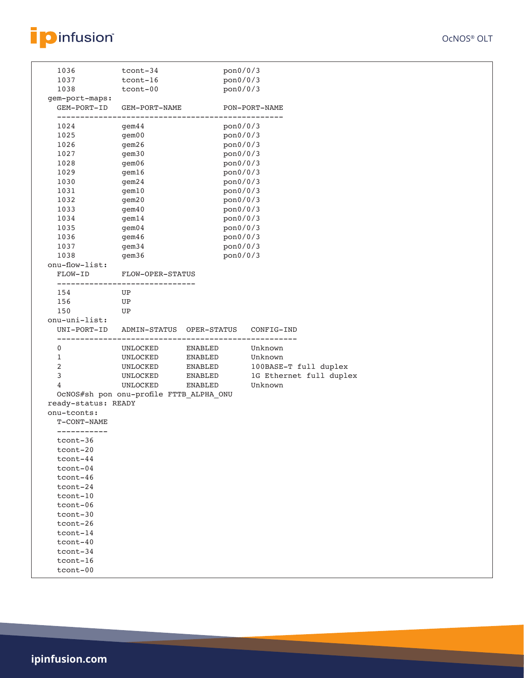

|                     | tcont-34                                                   | pon0/0/3 |                                       |  |
|---------------------|------------------------------------------------------------|----------|---------------------------------------|--|
| 1037                | $tcont-16$                                                 | pon0/0/3 |                                       |  |
| 1038                | tcont-00                                                   | pon0/0/3 |                                       |  |
| gem-port-maps:      |                                                            |          |                                       |  |
| GEM-PORT-ID         | GEM-PORT-NAME                                              |          | PON-PORT-NAME                         |  |
|                     |                                                            |          | --------------                        |  |
| 1024                | gem44                                                      | pon0/0/3 |                                       |  |
| 1025                | $g$ em $00$                                                | pon0/0/3 |                                       |  |
| 1026                | gem26                                                      | pon0/0/3 |                                       |  |
| 1027                | gem30                                                      | pon0/0/3 |                                       |  |
| 1028                | gem06                                                      | pon0/0/3 |                                       |  |
| 1029                | gem16                                                      | pon0/0/3 |                                       |  |
| 1030                | gem24                                                      | pon0/0/3 |                                       |  |
| 1031                | gem10                                                      | pon0/0/3 |                                       |  |
| 1032                | gem20                                                      | pon0/0/3 |                                       |  |
| 1033                | gem40                                                      | pon0/0/3 |                                       |  |
| 1034                | gem14                                                      | pon0/0/3 |                                       |  |
| 1035                | $g$ em $04$                                                | pon0/0/3 |                                       |  |
| 1036                | gem46                                                      | pon0/0/3 |                                       |  |
| 1037                | qem <sub>34</sub>                                          | pon0/0/3 |                                       |  |
| 1038                | gem36                                                      | pon0/0/3 |                                       |  |
| onu-flow-list:      |                                                            |          |                                       |  |
| FLOW-ID             | FLOW-OPER-STATUS                                           |          |                                       |  |
|                     | ------------------------------                             |          |                                       |  |
| 154                 | UP                                                         |          |                                       |  |
| 156                 | UP                                                         |          |                                       |  |
| 150                 | UP                                                         |          |                                       |  |
| onu-uni-list:       |                                                            |          |                                       |  |
| UNI-PORT-ID         | ADMIN-STATUS OPER-STATUS<br>______________________________ |          | CONFIG-IND<br>_______________________ |  |
| 0                   | UNLOCKED                                                   | ENABLED  | Unknown                               |  |
|                     |                                                            |          |                                       |  |
| $\mathbf{1}$        | UNLOCKED                                                   | ENABLED  | Unknown                               |  |
| 2                   | UNLOCKED                                                   | ENABLED  |                                       |  |
| 3                   | UNLOCKED                                                   | ENABLED  | 100BASE-T full duplex                 |  |
| 4                   | UNLOCKED                                                   | ENABLED  | 1G Ethernet full duplex<br>Unknown    |  |
|                     |                                                            |          |                                       |  |
| ready-status: READY | OcNOS#sh pon onu-profile FTTB_ALPHA_ONU                    |          |                                       |  |
| onu-tconts:         |                                                            |          |                                       |  |
| T-CONT-NAME         |                                                            |          |                                       |  |
| ___________         |                                                            |          |                                       |  |
| $tcont-36$          |                                                            |          |                                       |  |
| $tcont-20$          |                                                            |          |                                       |  |
| $tcont-44$          |                                                            |          |                                       |  |
| tcont-04            |                                                            |          |                                       |  |
| $tcont-46$          |                                                            |          |                                       |  |
| tcont-24            |                                                            |          |                                       |  |
| tcont-10            |                                                            |          |                                       |  |
| tcont-06            |                                                            |          |                                       |  |
| tcont-30            |                                                            |          |                                       |  |
| tcont-26            |                                                            |          |                                       |  |
| $tcont-14$          |                                                            |          |                                       |  |
| $tcont-40$          |                                                            |          |                                       |  |
| tcont-34            |                                                            |          |                                       |  |
| $tcont-16$          |                                                            |          |                                       |  |
| tcont-00            |                                                            |          |                                       |  |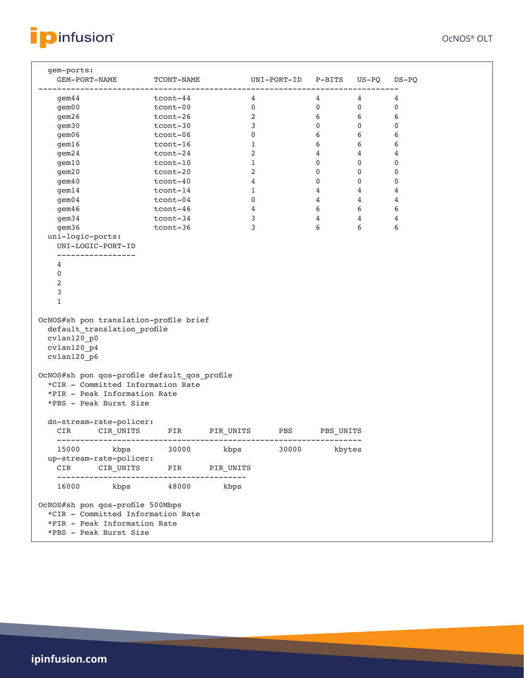

| gem-ports:<br>GEM-PORT-NAME TCONT-NAME                                                                                                      |            |           | UNI-PORT-ID P-BITS US-PQ |                 |                         | DS-PQ       |
|---------------------------------------------------------------------------------------------------------------------------------------------|------------|-----------|--------------------------|-----------------|-------------------------|-------------|
| gem44                                                                                                                                       | $tcont-44$ |           | 4                        | 4               | $4\degree$              | 4           |
| qem00                                                                                                                                       | tcont-00   |           | $\overline{0}$           | $\overline{0}$  | $\overline{\mathbf{0}}$ | 0           |
| gem26                                                                                                                                       | tcont-26   |           | 2                        | 6               | 6                       | 6           |
| gem30                                                                                                                                       | tcont-30   |           | 3                        | $\mathbf{0}$    | 0                       | $\mathbf 0$ |
| gem06                                                                                                                                       | tcont-06   |           | $\mathbf 0$              | 6               | 6                       | 6           |
| gem16                                                                                                                                       | tcont-16   |           | 1                        | 6               | 6                       | 6           |
| gem24                                                                                                                                       | tcont-24   |           | 2                        | $4\overline{ }$ | $4\overline{ }$         | 4           |
| gem10                                                                                                                                       | tcont-10   |           | 1                        | $\mathbf 0$     | $\mathbf 0$             | $\mathbf 0$ |
| gem20                                                                                                                                       | tcont-20   |           | 2                        | $\mathbf{0}$    | $\mathbf{0}$            | 0           |
| gem40                                                                                                                                       | tcont-40   |           | 4                        | $\mathbf 0$     | $\mathbf 0$             | 0           |
| gem14                                                                                                                                       | tcont-14   |           | 1                        | $4\overline{ }$ | $\overline{4}$          | 4           |
| $\text{gem}04$                                                                                                                              | tcont-04   |           | $\mathbf 0$              | $4\overline{ }$ | $4\overline{ }$         | 4           |
| gem46                                                                                                                                       | tcont-46   |           | 4                        | 6               | 6                       | 6           |
| gem34                                                                                                                                       | tcont-34   |           | 3                        | $4^{\circ}$     | $4\phantom{0}$          | 4           |
| gem36                                                                                                                                       | tcont-36   |           | 3                        | 6               | 6                       | 6           |
| uni-logic-ports:<br>UNI-LOGIC-PORT-ID                                                                                                       |            |           |                          |                 |                         |             |
|                                                                                                                                             |            |           |                          |                 |                         |             |
| 4                                                                                                                                           |            |           |                          |                 |                         |             |
| 0                                                                                                                                           |            |           |                          |                 |                         |             |
| 2                                                                                                                                           |            |           |                          |                 |                         |             |
| 3                                                                                                                                           |            |           |                          |                 |                         |             |
| $\mathbf 1$                                                                                                                                 |            |           |                          |                 |                         |             |
| OcNOS#sh pon translation-profile brief<br>default_translation_profile<br>cvlan120 p0<br>cvlan120_p4<br>cvlan120 p6                          |            |           |                          |                 |                         |             |
| OcNOS#sh pon qos-profile default qos profile<br>*CIR - Committed Information Rate<br>*PIR - Peak Information Rate<br>*PBS - Peak Burst Size |            |           |                          |                 |                         |             |
| dn-stream-rate-policer:<br>CIR                                                                                                              |            |           |                          |                 |                         |             |
| 15000 kbps 30000 kbps                                                                                                                       |            |           | 30000                    | kbytes          |                         |             |
| up-stream-rate-policer:<br>CIR<br>CIR UNITS                                                                                                 | PIR        | PIR UNITS |                          |                 |                         |             |
| 16000 kbps 48000                                                                                                                            |            | kbps      |                          |                 |                         |             |
| OcNOS#sh pon qos-profile 500Mbps<br>*CIR - Committed Information Rate<br>*PIR - Peak Information Rate<br>*PBS - Peak Burst Size             |            |           |                          |                 |                         |             |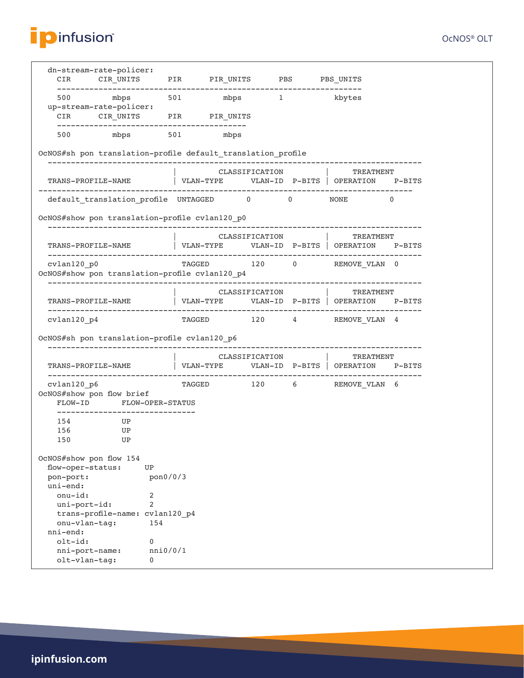

| dn-stream-rate-policer:<br>CIR                                | CIR_UNITS                       |          | PIR PIR_UNITS PBS PBS_UNITS                                    |                                                      |                |
|---------------------------------------------------------------|---------------------------------|----------|----------------------------------------------------------------|------------------------------------------------------|----------------|
| 500<br>up-stream-rate-policer:                                | mbps                            |          | 501 mbps 1 kbytes                                              |                                                      |                |
| CIR                                                           |                                 |          | CIR_UNITS PIR PIR_UNITS                                        |                                                      |                |
|                                                               | 500 mbps 501 mbps               |          |                                                                |                                                      |                |
|                                                               |                                 |          | OcNOS#sh pon translation-profile default translation profile   |                                                      |                |
| TRANS-PROFILE-NAME                                            |                                 |          | CLASSIFICATION  <br>VLAN-TYPE    VLAN-ID    P-BITS   OPERATION | TREATMENT                                            | P-BITS         |
|                                                               |                                 |          | default_translation_profile UNTAGGED 0 0 0 NONE                |                                                      | $\overline{0}$ |
|                                                               |                                 |          |                                                                |                                                      |                |
| OcNOS#show pon translation-profile cvlan120 p0                |                                 |          |                                                                |                                                      |                |
|                                                               |                                 |          | CLASSIFICATION                                                 | TREATMENT                                            |                |
| TRANS-PROFILE-NAME                                            |                                 |          |                                                                |                                                      |                |
| cvlan120 p0<br>OcNOS#show pon translation-profile cvlan120_p4 |                                 |          |                                                                | TAGGED 120 0 REMOVE VLAN 0                           |                |
|                                                               |                                 |          | CLASSIFICATION                                                 | TREATMENT                                            |                |
| TRANS-PROFILE-NAME                                            |                                 |          |                                                                | VLAN-TYPE    VLAN-ID    P-BITS   OPERATION    P-BITS |                |
| $cvlan120_p4$                                                 |                                 |          |                                                                | TAGGED 120 4 REMOVE VLAN 4                           |                |
| OcNOS#sh pon translation-profile cvlan120_p6                  |                                 |          |                                                                |                                                      |                |
|                                                               |                                 |          | CLASSIFICATION                                                 | TREATMENT                                            |                |
| TRANS-PROFILE-NAME                                            |                                 |          | VLAN-TYPE    VLAN-ID    P-BITS   OPERATION                     |                                                      | $P-BITS$       |
| cvlan120 p6<br>OcNOS#show pon flow brief                      | FLOW-ID FLOW-OPER-STATUS        |          | TAGGED                                                         | 120 6 REMOVE VLAN 6                                  |                |
|                                                               |                                 |          |                                                                |                                                      |                |
| 154                                                           | UP                              |          |                                                                |                                                      |                |
| 156<br>150                                                    | UP<br>UP                        |          |                                                                |                                                      |                |
| OcNOS#show pon flow 154                                       |                                 |          |                                                                |                                                      |                |
| flow-oper-status:                                             | UP                              |          |                                                                |                                                      |                |
| pon-port:                                                     |                                 | pon0/0/3 |                                                                |                                                      |                |
| uni-end:                                                      |                                 |          |                                                                |                                                      |                |
| $onu-id$ :                                                    | 2                               |          |                                                                |                                                      |                |
| uni-port-id:                                                  | $\overline{2}$                  |          |                                                                |                                                      |                |
|                                                               | trans-profile-name: cvlan120_p4 |          |                                                                |                                                      |                |
| onu-vlan-tag:<br>$nni-end:$                                   |                                 | 154      |                                                                |                                                      |                |
| $olt-id:$                                                     | 0                               |          |                                                                |                                                      |                |
| nni-port-name:                                                |                                 | nni0/0/1 |                                                                |                                                      |                |
| olt-vlan-tag:                                                 | 0                               |          |                                                                |                                                      |                |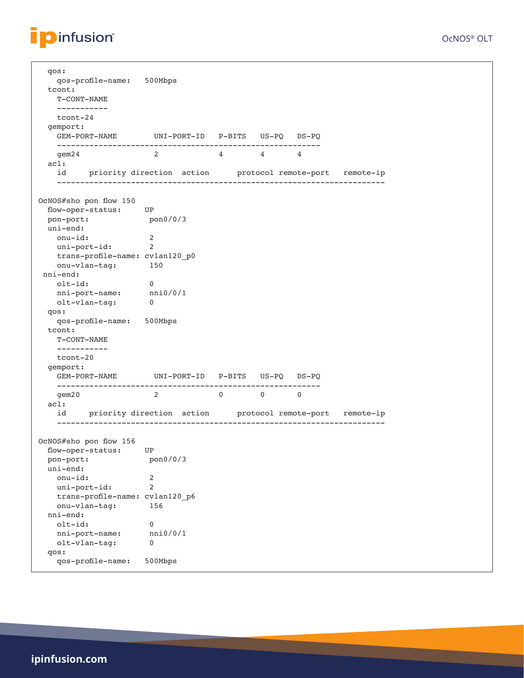

 qos: qos-profile-name: 500Mbps tcont: T-CONT-NAME ---------- tcont-24 gemport: GEM-PORT-NAME UNI-PORT-ID P-BITS US-PQ DS-PQ -------------------------------------------------------- gem24 2 4 4 4 acl: id priority direction action protocol remote-port remote-ip ----------------------------------------------------------------------- OcNOS#sho pon flow 150 flow-oper-status: UP pon-port: pon0/0/3 uni-end: onu-id: 2 uni-port-id: 2 trans-profile-name: cvlan120\_p0 onu-vlan-tag: 150 nni-end: olt-id: 0 nni-port-name: nni0/0/1 olt-vlan-tag: 0 qos: qos-profile-name: 500Mbps tcont: T-CONT-NAME ---------- tcont-20 gemport: GEM-PORT-NAME UNI-PORT-ID P-BITS US-PQ DS-PQ -------------------------------------------------------- gem20 2 0 0 0 acl: id priority direction action protocol remote-port remote-ip ----------------------------------------------------------------------- OcNOS#sho pon flow 156 flow-oper-status: UP pon-port: pon0/0/3 uni-end: onu-id: 2<br>
uni-port-id: 2 uni-port-id: 2 trans-profile-name: cvlan120\_p6 onu-vlan-tag: 156 nni-end: olt-id: 0 nni-port-name: nni0/0/1 olt-vlan-tag: 0 qos: qos-profile-name: 500Mbps